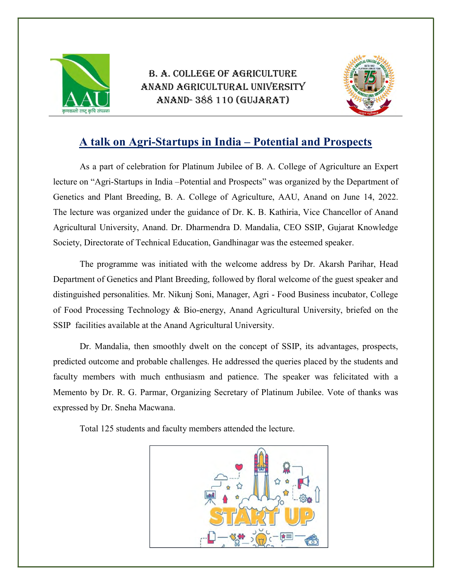

B. A. COLLEGE OF AGRICULTURE ANAND AGRICULTURAL UNIVERSITY ANAND- 388 110 (GUJARAT)



## A talk on Agri-Startups in India – Potential and Prospects

As a part of celebration for Platinum Jubilee of B. A. College of Agriculture an Expert lecture on "Agri-Startups in India –Potential and Prospects" was organized by the Department of Genetics and Plant Breeding, B. A. College of Agriculture, AAU, Anand on June 14, 2022. The lecture was organized under the guidance of Dr. K. B. Kathiria, Vice Chancellor of Anand Agricultural University, Anand. Dr. Dharmendra D. Mandalia, CEO SSIP, Gujarat Knowledge Society, Directorate of Technical Education, Gandhinagar was the esteemed speaker.

 The programme was initiated with the welcome address by Dr. Akarsh Parihar, Head Department of Genetics and Plant Breeding, followed by floral welcome of the guest speaker and distinguished personalities. Mr. Nikunj Soni, Manager, Agri - Food Business incubator, College of Food Processing Technology & Bio-energy, Anand Agricultural University, briefed on the SSIP facilities available at the Anand Agricultural University.

Dr. Mandalia, then smoothly dwelt on the concept of SSIP, its advantages, prospects, predicted outcome and probable challenges. He addressed the queries placed by the students and faculty members with much enthusiasm and patience. The speaker was felicitated with a Memento by Dr. R. G. Parmar, Organizing Secretary of Platinum Jubilee. Vote of thanks was expressed by Dr. Sneha Macwana.

Total 125 students and faculty members attended the lecture.